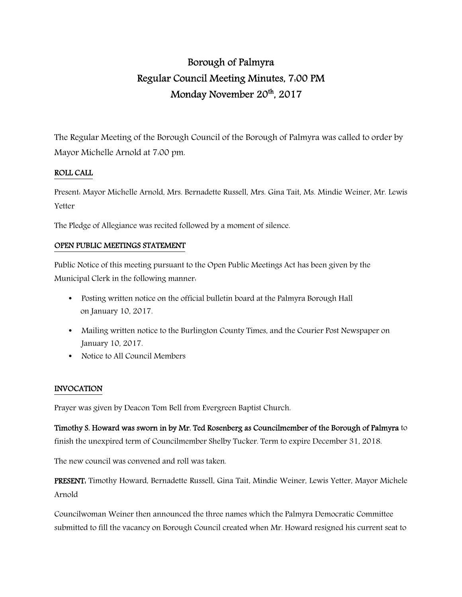# Borough of Palmyra Regular Council Meeting Minutes, 7:00 PM Monday November 20<sup>th</sup>, 2017

The Regular Meeting of the Borough Council of the Borough of Palmyra was called to order by Mayor Michelle Arnold at 7:00 pm.

## ROLL CALL

Present: Mayor Michelle Arnold, Mrs. Bernadette Russell, Mrs. Gina Tait, Ms. Mindie Weiner, Mr. Lewis Yetter

The Pledge of Allegiance was recited followed by a moment of silence.

### OPEN PUBLIC MEETINGS STATEMENT

Public Notice of this meeting pursuant to the Open Public Meetings Act has been given by the Municipal Clerk in the following manner:

- Posting written notice on the official bulletin board at the Palmyra Borough Hall on January 10, 2017.
- Mailing written notice to the Burlington County Times, and the Courier Post Newspaper on January 10, 2017.
- Notice to All Council Members

## INVOCATION

Prayer was given by Deacon Tom Bell from Evergreen Baptist Church.

Timothy S. Howard was sworn in by Mr. Ted Rosenberg as Councilmember of the Borough of Palmyra to finish the unexpired term of Councilmember Shelby Tucker. Term to expire December 31, 2018.

The new council was convened and roll was taken.

PRESENT: Timothy Howard, Bernadette Russell, Gina Tait, Mindie Weiner, Lewis Yetter, Mayor Michele Arnold

Councilwoman Weiner then announced the three names which the Palmyra Democratic Committee submitted to fill the vacancy on Borough Council created when Mr. Howard resigned his current seat to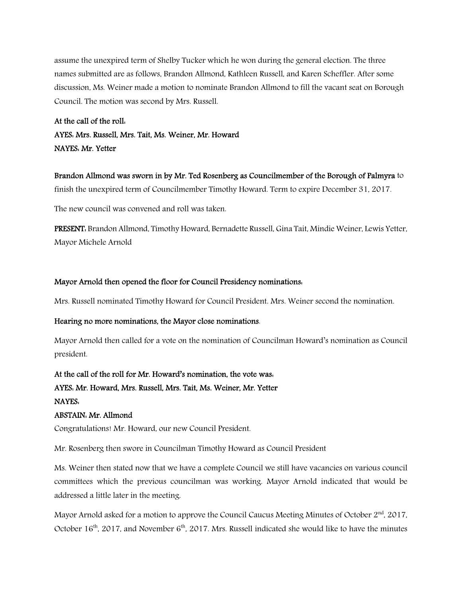assume the unexpired term of Shelby Tucker which he won during the general election. The three names submitted are as follows, Brandon Allmond, Kathleen Russell, and Karen Scheffler. After some discussion, Ms. Weiner made a motion to nominate Brandon Allmond to fill the vacant seat on Borough Council. The motion was second by Mrs. Russell.

# At the call of the roll: AYES: Mrs. Russell, Mrs. Tait, Ms. Weiner, Mr. Howard NAYES: Mr. Yetter

Brandon Allmond was sworn in by Mr. Ted Rosenberg as Councilmember of the Borough of Palmyra to finish the unexpired term of Councilmember Timothy Howard. Term to expire December 31, 2017.

The new council was convened and roll was taken.

PRESENT: Brandon Allmond, Timothy Howard, Bernadette Russell, Gina Tait, Mindie Weiner, Lewis Yetter, Mayor Michele Arnold

### Mayor Arnold then opened the floor for Council Presidency nominations:

Mrs. Russell nominated Timothy Howard for Council President. Mrs. Weiner second the nomination.

### Hearing no more nominations, the Mayor close nominations.

Mayor Arnold then called for a vote on the nomination of Councilman Howard's nomination as Council president.

# At the call of the roll for Mr. Howard's nomination, the vote was: AYES: Mr. Howard, Mrs. Russell, Mrs. Tait, Ms. Weiner, Mr. Yetter NAYES:

### ABSTAIN: Mr. Allmond

Congratulations! Mr. Howard, our new Council President.

Mr. Rosenberg then swore in Councilman Timothy Howard as Council President

Ms. Weiner then stated now that we have a complete Council we still have vacancies on various council committees which the previous councilman was working. Mayor Arnold indicated that would be addressed a little later in the meeting.

Mayor Arnold asked for a motion to approve the Council Caucus Meeting Minutes of October 2<sup>nd</sup>, 2017, October  $16<sup>th</sup>$ , 2017, and November  $6<sup>th</sup>$ , 2017. Mrs. Russell indicated she would like to have the minutes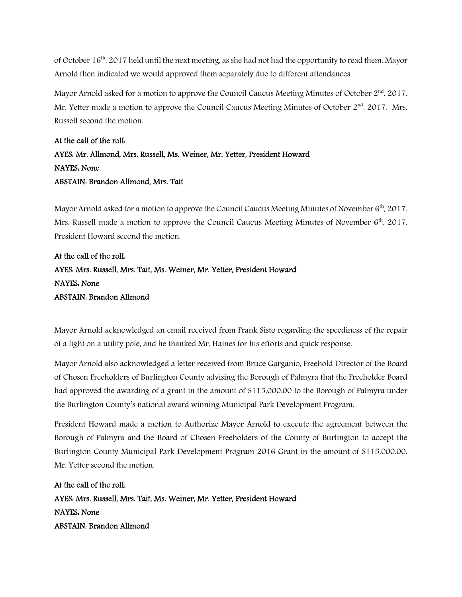of October 16th, 2017 held until the next meeting, as she had not had the opportunity to read them. Mayor Arnold then indicated we would approved them separately due to different attendances.

Mayor Arnold asked for a motion to approve the Council Caucus Meeting Minutes of October  $2<sup>nd</sup>$ , 2017. Mr. Yetter made a motion to approve the Council Caucus Meeting Minutes of October 2<sup>nd</sup>, 2017. Mrs. Russell second the motion.

# At the call of the roll: AYES: Mr. Allmond, Mrs. Russell, Ms. Weiner, Mr. Yetter, President Howard NAYES: None ABSTAIN: Brandon Allmond, Mrs. Tait

Mayor Arnold asked for a motion to approve the Council Caucus Meeting Minutes of November 6<sup>th</sup>, 2017. Mrs. Russell made a motion to approve the Council Caucus Meeting Minutes of November  $6<sup>th</sup>$ , 2017. President Howard second the motion.

# At the call of the roll: AYES: Mrs. Russell, Mrs. Tait, Ms. Weiner, Mr. Yetter, President Howard NAYES: None ABSTAIN: Brandon Allmond

Mayor Arnold acknowledged an email received from Frank Sisto regarding the speediness of the repair of a light on a utility pole, and he thanked Mr. Haines for his efforts and quick response.

Mayor Arnold also acknowledged a letter received from Bruce Garganio, Freehold Director of the Board of Chosen Freeholders of Burlington County advising the Borough of Palmyra that the Freeholder Board had approved the awarding of a grant in the amount of \$115,000.00 to the Borough of Palmyra under the Burlington County's national award winning Municipal Park Development Program.

President Howard made a motion to Authorize Mayor Arnold to execute the agreement between the Borough of Palmyra and the Board of Chosen Freeholders of the County of Burlington to accept the Burlington County Municipal Park Development Program 2016 Grant in the amount of \$115,000.00. Mr. Yetter second the motion.

At the call of the roll: AYES: Mrs. Russell, Mrs. Tait, Ms. Weiner, Mr. Yetter, President Howard NAYES: None ABSTAIN: Brandon Allmond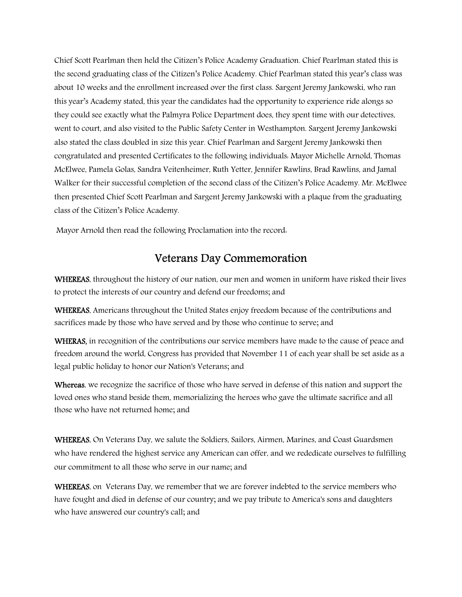Chief Scott Pearlman then held the Citizen's Police Academy Graduation. Chief Pearlman stated this is the second graduating class of the Citizen's Police Academy. Chief Pearlman stated this year's class was about 10 weeks and the enrollment increased over the first class. Sargent Jeremy Jankowski, who ran this year's Academy stated, this year the candidates had the opportunity to experience ride alongs so they could see exactly what the Palmyra Police Department does, they spent time with our detectives, went to court, and also visited to the Public Safety Center in Westhampton. Sargent Jeremy Jankowski also stated the class doubled in size this year. Chief Pearlman and Sargent Jeremy Jankowski then congratulated and presented Certificates to the following individuals: Mayor Michelle Arnold, Thomas McElwee, Pamela Golas, Sandra Veitenheimer, Ruth Yetter, Jennifer Rawlins, Brad Rawlins, and Jamal Walker for their successful completion of the second class of the Citizen's Police Academy. Mr. McElwee then presented Chief Scott Pearlman and Sargent Jeremy Jankowski with a plaque from the graduating class of the Citizen's Police Academy.

Mayor Arnold then read the following Proclamation into the record:

# Veterans Day Commemoration

WHEREAS, throughout the history of our nation, our men and women in uniform have risked their lives to protect the interests of our country and defend our freedoms; and

WHEREAS, Americans throughout the United States enjoy freedom because of the contributions and sacrifices made by those who have served and by those who continue to serve; and

WHERAS, in recognition of the contributions our service members have made to the cause of peace and freedom around the world, Congress has provided that November 11 of each year shall be set aside as a legal public holiday to honor our Nation's Veterans; and

Whereas, we recognize the sacrifice of those who have served in defense of this nation and support the loved ones who stand beside them, memorializing the heroes who gave the ultimate sacrifice and all those who have not returned home; and

WHEREAS, On Veterans Day, we salute the Soldiers, Sailors, Airmen, Marines, and Coast Guardsmen who have rendered the highest service any American can offer, and we rededicate ourselves to fulfilling our commitment to all those who serve in our name; and

WHEREAS, on Veterans Day, we remember that we are forever indebted to the service members who have fought and died in defense of our country; and we pay tribute to America's sons and daughters who have answered our country's call; and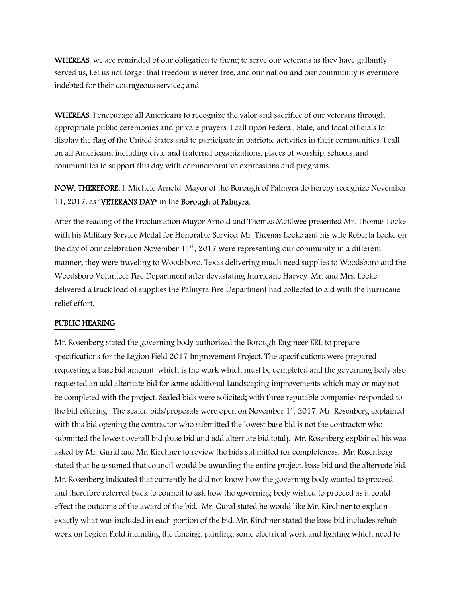WHEREAS, we are reminded of our obligation to them; to serve our veterans as they have gallantly served us, Let us not forget that freedom is never free, and our nation and our community is evermore indebted for their courageous service,; and

WHEREAS, I encourage all Americans to recognize the valor and sacrifice of our veterans through appropriate public ceremonies and private prayers. I call upon Federal, State, and local officials to display the flag of the United States and to participate in patriotic activities in their communities. I call on all Americans, including civic and fraternal organizations, places of worship, schools, and communities to support this day with commemorative expressions and programs.

NOW, THEREFORE, I, Michele Arnold, Mayor of the Borough of Palmyra do hereby recognize November 11, 2017, as "VETERANS DAY" in the Borough of Palmyra.

After the reading of the Proclamation Mayor Arnold and Thomas McElwee presented Mr. Thomas Locke with his Military Service Medal for Honorable Service. Mr. Thomas Locke and his wife Roberta Locke on the day of our celebration November  $11<sup>th</sup>$ , 2017 were representing our community in a different manner; they were traveling to Woodsboro, Texas delivering much need supplies to Woodsboro and the Woodsboro Volunteer Fire Department after devastating hurricane Harvey. Mr. and Mrs. Locke delivered a truck load of supplies the Palmyra Fire Department had collected to aid with the hurricane relief effort.

### PUBLIC HEARING

Mr. Rosenberg stated the governing body authorized the Borough Engineer ERI, to prepare specifications for the Legion Field 2017 Improvement Project. The specifications were prepared requesting a base bid amount, which is the work which must be completed and the governing body also requested an add alternate bid for some additional Landscaping improvements which may or may not be completed with the project. Sealed bids were solicited; with three reputable companies responded to the bid offering. The sealed bids/proposals were open on November 1<sup>st</sup>, 2017. Mr. Rosenberg explained with this bid opening the contractor who submitted the lowest base bid is not the contractor who submitted the lowest overall bid (base bid and add alternate bid total). Mr. Rosenberg explained his was asked by Mr. Gural and Mr. Kirchner to review the bids submitted for completeness. Mr. Rosenberg stated that he assumed that council would be awarding the entire project, base bid and the alternate bid. Mr. Rosenberg indicated that currently he did not know how the governing body wanted to proceed and therefore referred back to council to ask how the governing body wished to proceed as it could effect the outcome of the award of the bid. Mr. Gural stated he would like Mr. Kirchner to explain exactly what was included in each portion of the bid. Mr. Kirchner stated the base bid includes rehab work on Legion Field including the fencing, painting, some electrical work and lighting which need to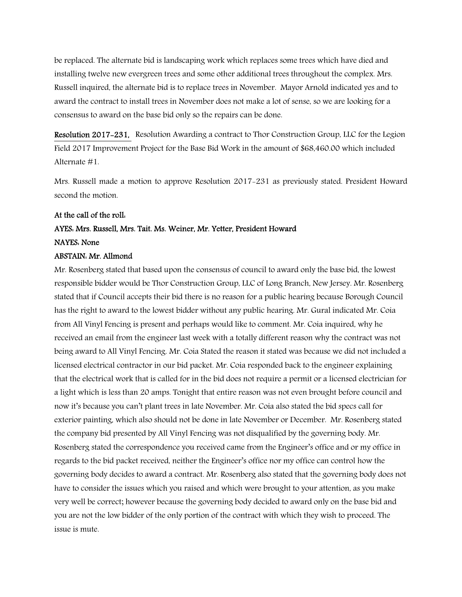be replaced. The alternate bid is landscaping work which replaces some trees which have died and installing twelve new evergreen trees and some other additional trees throughout the complex. Mrs. Russell inquired, the alternate bid is to replace trees in November. Mayor Arnold indicated yes and to award the contract to install trees in November does not make a lot of sense, so we are looking for a consensus to award on the base bid only so the repairs can be done.

Resolution 2017-231, Resolution Awarding a contract to Thor Construction Group, LLC for the Legion Field 2017 Improvement Project for the Base Bid Work in the amount of \$68,460.00 which included Alternate #1.

Mrs. Russell made a motion to approve Resolution 2017-231 as previously stated. President Howard second the motion.

#### At the call of the roll:

# AYES: Mrs. Russell, Mrs. Tait. Ms. Weiner, Mr. Yetter, President Howard NAYES: None

# ABSTAIN: Mr. Allmond

Mr. Rosenberg stated that based upon the consensus of council to award only the base bid, the lowest responsible bidder would be Thor Construction Group, LLC of Long Branch, New Jersey. Mr. Rosenberg stated that if Council accepts their bid there is no reason for a public hearing because Borough Council has the right to award to the lowest bidder without any public hearing. Mr. Gural indicated Mr. Coia from All Vinyl Fencing is present and perhaps would like to comment. Mr. Coia inquired, why he received an email from the engineer last week with a totally different reason why the contract was not being award to All Vinyl Fencing. Mr. Coia Stated the reason it stated was because we did not included a licensed electrical contractor in our bid packet. Mr. Coia responded back to the engineer explaining that the electrical work that is called for in the bid does not require a permit or a licensed electrician for a light which is less than 20 amps. Tonight that entire reason was not even brought before council and now it's because you can't plant trees in late November. Mr. Coia also stated the bid specs call for exterior painting, which also should not be done in late November or December. Mr. Rosenberg stated the company bid presented by All Vinyl Fencing was not disqualified by the governing body. Mr. Rosenberg stated the correspondence you received came from the Engineer's office and or my office in regards to the bid packet received, neither the Engineer's office nor my office can control how the governing body decides to award a contract. Mr. Rosenberg also stated that the governing body does not have to consider the issues which you raised and which were brought to your attention, as you make very well be correct; however because the governing body decided to award only on the base bid and you are not the low bidder of the only portion of the contract with which they wish to proceed. The issue is mute.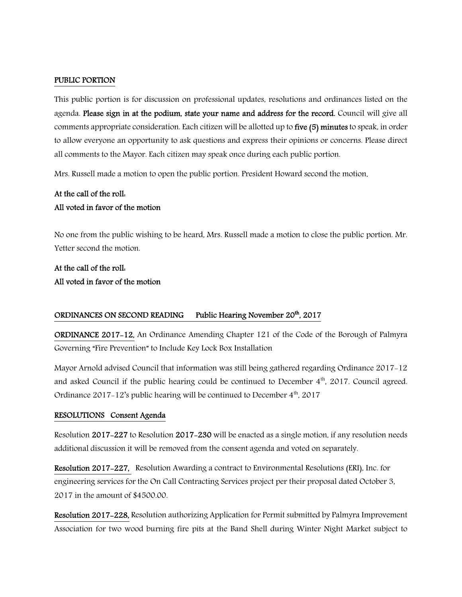### PUBLIC PORTION

This public portion is for discussion on professional updates, resolutions and ordinances listed on the agenda. Please sign in at the podium, state your name and address for the record. Council will give all comments appropriate consideration. Each citizen will be allotted up to five (5) minutes to speak, in order to allow everyone an opportunity to ask questions and express their opinions or concerns. Please direct all comments to the Mayor. Each citizen may speak once during each public portion.

Mrs. Russell made a motion to open the public portion. President Howard second the motion.

# At the call of the roll: All voted in favor of the motion

No one from the public wishing to be heard, Mrs. Russell made a motion to close the public portion. Mr. Yetter second the motion.

# At the call of the roll: All voted in favor of the motion

### ORDINANCES ON SECOND READING Public Hearing November 20<sup>th</sup>, 2017

ORDINANCE 2017-12, An Ordinance Amending Chapter 121 of the Code of the Borough of Palmyra Governing "Fire Prevention" to Include Key Lock Box Installation

Mayor Arnold advised Council that information was still being gathered regarding Ordinance 2017-12 and asked Council if the public hearing could be continued to December  $4<sup>th</sup>$ , 2017. Council agreed. Ordinance 2017-12's public hearing will be continued to December  $4<sup>th</sup>$ , 2017

#### RESOLUTIONS Consent Agenda

Resolution 2017-227 to Resolution 2017-230 will be enacted as a single motion, if any resolution needs additional discussion it will be removed from the consent agenda and voted on separately.

Resolution 2017-227, Resolution Awarding a contract to Environmental Resolutions (ERI), Inc. for engineering services for the On Call Contracting Services project per their proposal dated October 3, 2017 in the amount of \$4500.00.

Resolution 2017-228, Resolution authorizing Application for Permit submitted by Palmyra Improvement Association for two wood burning fire pits at the Band Shell during Winter Night Market subject to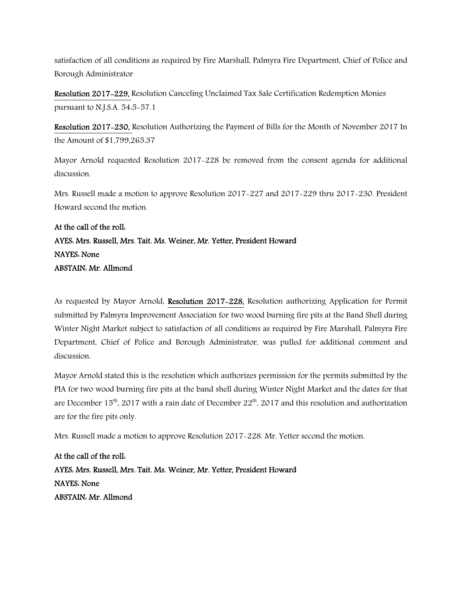satisfaction of all conditions as required by Fire Marshall, Palmyra Fire Department, Chief of Police and Borough Administrator

Resolution 2017-229, Resolution Canceling Unclaimed Tax Sale Certification Redemption Monies pursuant to N.J.S.A. 54:5-57.1

Resolution 2017-230, Resolution Authorizing the Payment of Bills for the Month of November 2017 In the Amount of \$1,799,265.37

Mayor Arnold requested Resolution 2017-228 be removed from the consent agenda for additional discussion.

Mrs. Russell made a motion to approve Resolution 2017-227 and 2017-229 thru 2017-230. President Howard second the motion.

# At the call of the roll: AYES: Mrs. Russell, Mrs. Tait. Ms. Weiner, Mr. Yetter, President Howard NAYES: None ABSTAIN: Mr. Allmond

As requested by Mayor Arnold, Resolution 2017-228, Resolution authorizing Application for Permit submitted by Palmyra Improvement Association for two wood burning fire pits at the Band Shell during Winter Night Market subject to satisfaction of all conditions as required by Fire Marshall, Palmyra Fire Department, Chief of Police and Borough Administrator, was pulled for additional comment and discussion.

Mayor Arnold stated this is the resolution which authorizes permission for the permits submitted by the PIA for two wood burning fire pits at the band shell during Winter Night Market and the dates for that are December 15<sup>th</sup>, 2017 with a rain date of December 22<sup>th</sup>, 2017 and this resolution and authorization are for the fire pits only.

Mrs. Russell made a motion to approve Resolution 2017-228. Mr. Yetter second the motion.

At the call of the roll: AYES: Mrs. Russell, Mrs. Tait. Ms. Weiner, Mr. Yetter, President Howard NAYES: None ABSTAIN: Mr. Allmond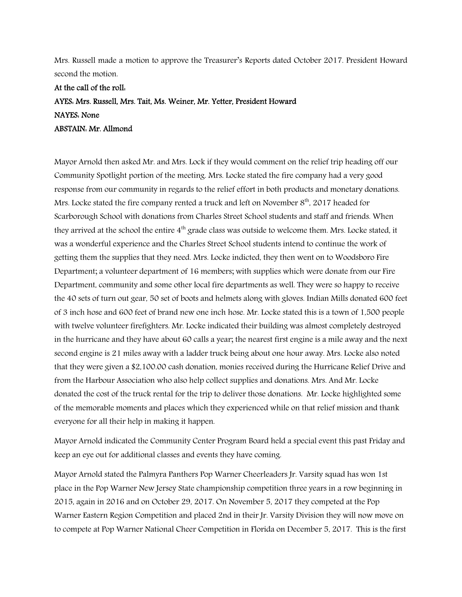Mrs. Russell made a motion to approve the Treasurer's Reports dated October 2017. President Howard second the motion.

At the call of the roll: AYES: Mrs. Russell, Mrs. Tait, Ms. Weiner, Mr. Yetter, President Howard NAYES: None ABSTAIN: Mr. Allmond

Mayor Arnold then asked Mr. and Mrs. Lock if they would comment on the relief trip heading off our Community Spotlight portion of the meeting. Mrs. Locke stated the fire company had a very good response from our community in regards to the relief effort in both products and monetary donations. Mrs. Locke stated the fire company rented a truck and left on November 8<sup>th</sup>. 2017 headed for Scarborough School with donations from Charles Street School students and staff and friends. When they arrived at the school the entire 4<sup>th</sup> grade class was outside to welcome them. Mrs. Locke stated, it was a wonderful experience and the Charles Street School students intend to continue the work of getting them the supplies that they need. Mrs. Locke indicted, they then went on to Woodsboro Fire Department; a volunteer department of 16 members; with supplies which were donate from our Fire Department, community and some other local fire departments as well. They were so happy to receive the 40 sets of turn out gear, 50 set of boots and helmets along with gloves. Indian Mills donated 600 feet of 3 inch hose and 600 feet of brand new one inch hose. Mr. Locke stated this is a town of 1,500 people with twelve volunteer firefighters. Mr. Locke indicated their building was almost completely destroyed in the hurricane and they have about 60 calls a year; the nearest first engine is a mile away and the next second engine is 21 miles away with a ladder truck being about one hour away. Mrs. Locke also noted that they were given a \$2,100.00 cash donation, monies received during the Hurricane Relief Drive and from the Harbour Association who also help collect supplies and donations. Mrs. And Mr. Locke donated the cost of the truck rental for the trip to deliver those donations. Mr. Locke highlighted some of the memorable moments and places which they experienced while on that relief mission and thank everyone for all their help in making it happen.

Mayor Arnold indicated the Community Center Program Board held a special event this past Friday and keep an eye out for additional classes and events they have coming.

Mayor Arnold stated the Palmyra Panthers Pop Warner Cheerleaders Jr. Varsity squad has won 1st place in the Pop Warner New Jersey State championship competition three years in a row beginning in 2015, again in 2016 and on October 29, 2017. On November 5, 2017 they competed at the Pop Warner Eastern Region Competition and placed 2nd in their Jr. Varsity Division they will now move on to compete at Pop Warner National Cheer Competition in Florida on December 5, 2017. This is the first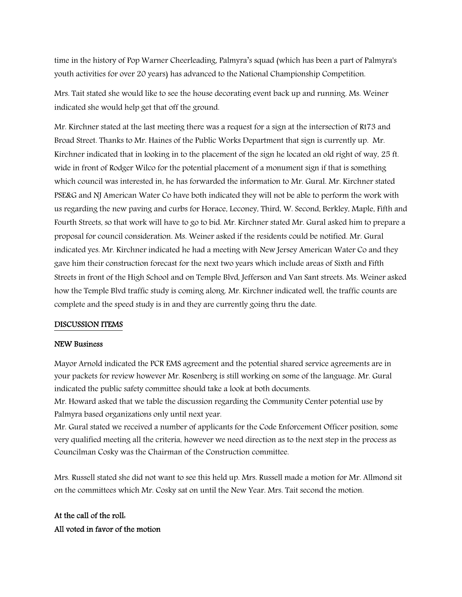time in the history of Pop Warner Cheerleading, Palmyra's squad (which has been a part of Palmyra's youth activities for over 20 years) has advanced to the National Championship Competition.

Mrs. Tait stated she would like to see the house decorating event back up and running. Ms. Weiner indicated she would help get that off the ground.

Mr. Kirchner stated at the last meeting there was a request for a sign at the intersection of Rt73 and Broad Street. Thanks to Mr. Haines of the Public Works Department that sign is currently up. Mr. Kirchner indicated that in looking in to the placement of the sign he located an old right of way, 25 ft. wide in front of Rodger Wilco for the potential placement of a monument sign if that is something which council was interested in, he has forwarded the information to Mr. Gural. Mr. Kirchner stated PSE&G and NJ American Water Co have both indicated they will not be able to perform the work with us regarding the new paving and curbs for Horace, Leconey, Third, W. Second, Berkley, Maple, Fifth and Fourth Streets, so that work will have to go to bid. Mr. Kirchner stated Mr. Gural asked him to prepare a proposal for council consideration. Ms. Weiner asked if the residents could be notified. Mr. Gural indicated yes. Mr. Kirchner indicated he had a meeting with New Jersey American Water Co and they gave him their construction forecast for the next two years which include areas of Sixth and Fifth Streets in front of the High School and on Temple Blvd, Jefferson and Van Sant streets. Ms. Weiner asked how the Temple Blvd traffic study is coming along. Mr. Kirchner indicated well, the traffic counts are complete and the speed study is in and they are currently going thru the date.

## DISCUSSION ITEMS

#### NEW Business

Mayor Arnold indicated the PCR EMS agreement and the potential shared service agreements are in your packets for review however Mr. Rosenberg is still working on some of the language. Mr. Gural indicated the public safety committee should take a look at both documents.

Mr. Howard asked that we table the discussion regarding the Community Center potential use by Palmyra based organizations only until next year.

Mr. Gural stated we received a number of applicants for the Code Enforcement Officer position, some very qualified meeting all the criteria, however we need direction as to the next step in the process as Councilman Cosky was the Chairman of the Construction committee.

Mrs. Russell stated she did not want to see this held up. Mrs. Russell made a motion for Mr. Allmond sit on the committees which Mr. Cosky sat on until the New Year. Mrs. Tait second the motion.

At the call of the roll: All voted in favor of the motion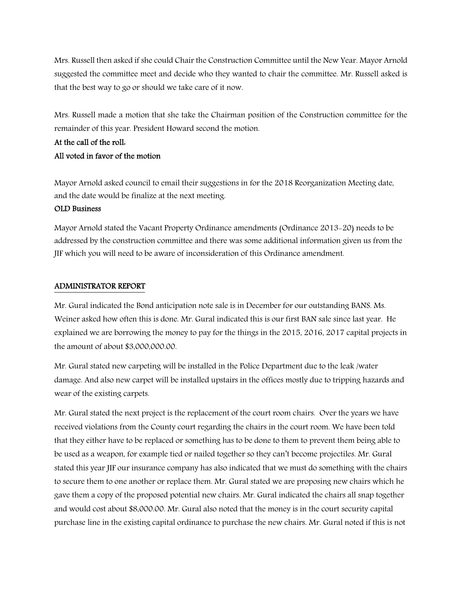Mrs. Russell then asked if she could Chair the Construction Committee until the New Year. Mayor Arnold suggested the committee meet and decide who they wanted to chair the committee. Mr. Russell asked is that the best way to go or should we take care of it now.

Mrs. Russell made a motion that she take the Chairman position of the Construction committee for the remainder of this year. President Howard second the motion.

# At the call of the roll: All voted in favor of the motion

Mayor Arnold asked council to email their suggestions in for the 2018 Reorganization Meeting date, and the date would be finalize at the next meeting.

## OLD Business

Mayor Arnold stated the Vacant Property Ordinance amendments (Ordinance 2013-20) needs to be addressed by the construction committee and there was some additional information given us from the JIF which you will need to be aware of inconsideration of this Ordinance amendment.

### ADMINISTRATOR REPORT

Mr. Gural indicated the Bond anticipation note sale is in December for our outstanding BANS. Ms. Weiner asked how often this is done. Mr. Gural indicated this is our first BAN sale since last year. He explained we are borrowing the money to pay for the things in the 2015, 2016, 2017 capital projects in the amount of about \$3,000,000.00.

Mr. Gural stated new carpeting will be installed in the Police Department due to the leak /water damage. And also new carpet will be installed upstairs in the offices mostly due to tripping hazards and wear of the existing carpets.

Mr. Gural stated the next project is the replacement of the court room chairs. Over the years we have received violations from the County court regarding the chairs in the court room. We have been told that they either have to be replaced or something has to be done to them to prevent them being able to be used as a weapon, for example tied or nailed together so they can't become projectiles. Mr. Gural stated this year JIF our insurance company has also indicated that we must do something with the chairs to secure them to one another or replace them. Mr. Gural stated we are proposing new chairs which he gave them a copy of the proposed potential new chairs. Mr. Gural indicated the chairs all snap together and would cost about \$8,000.00. Mr. Gural also noted that the money is in the court security capital purchase line in the existing capital ordinance to purchase the new chairs. Mr. Gural noted if this is not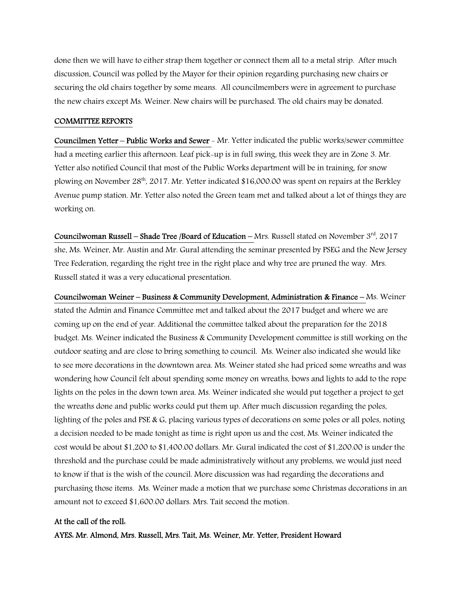done then we will have to either strap them together or connect them all to a metal strip. After much discussion, Council was polled by the Mayor for their opinion regarding purchasing new chairs or securing the old chairs together by some means. All councilmembers were in agreement to purchase the new chairs except Ms. Weiner. New chairs will be purchased. The old chairs may be donated.

#### COMMITTEE REPORTS

Councilmen Yetter – Public Works and Sewer - Mr. Yetter indicated the public works/sewer committee had a meeting earlier this afternoon. Leaf pick-up is in full swing, this week they are in Zone 3. Mr. Yetter also notified Council that most of the Public Works department will be in training, for snow plowing on November 28<sup>th</sup>, 2017. Mr. Yetter indicated \$16,000.00 was spent on repairs at the Berkley Avenue pump station. Mr. Yetter also noted the Green team met and talked about a lot of things they are working on.

Councilwoman Russell – Shade Tree /Board of Education – Mrs. Russell stated on November  $3<sup>rd</sup>$ , 2017 she, Ms. Weiner, Mr. Austin and Mr. Gural attending the seminar presented by PSEG and the New Jersey Tree Federation, regarding the right tree in the right place and why tree are pruned the way. Mrs. Russell stated it was a very educational presentation.

Councilwoman Weiner – Business & Community Development, Administration & Finance – Ms. Weiner stated the Admin and Finance Committee met and talked about the 2017 budget and where we are coming up on the end of year. Additional the committee talked about the preparation for the 2018 budget. Ms. Weiner indicated the Business & Community Development committee is still working on the outdoor seating and are close to bring something to council. Ms. Weiner also indicated she would like to see more decorations in the downtown area. Ms. Weiner stated she had priced some wreaths and was wondering how Council felt about spending some money on wreaths, bows and lights to add to the rope lights on the poles in the down town area. Ms. Weiner indicated she would put together a project to get the wreaths done and public works could put them up. After much discussion regarding the poles, lighting of the poles and PSE & G, placing various types of decorations on some poles or all poles, noting a decision needed to be made tonight as time is right upon us and the cost, Ms. Weiner indicated the cost would be about \$1,200 to \$1,400.00 dollars. Mr. Gural indicated the cost of \$1,200.00 is under the threshold and the purchase could be made administratively without any problems, we would just need to know if that is the wish of the council. More discussion was had regarding the decorations and purchasing those items. Ms. Weiner made a motion that we purchase some Christmas decorations in an amount not to exceed \$1,600.00 dollars. Mrs. Tait second the motion.

#### At the call of the roll:

AYES: Mr. Almond, Mrs. Russell, Mrs. Tait, Ms. Weiner, Mr. Yetter, President Howard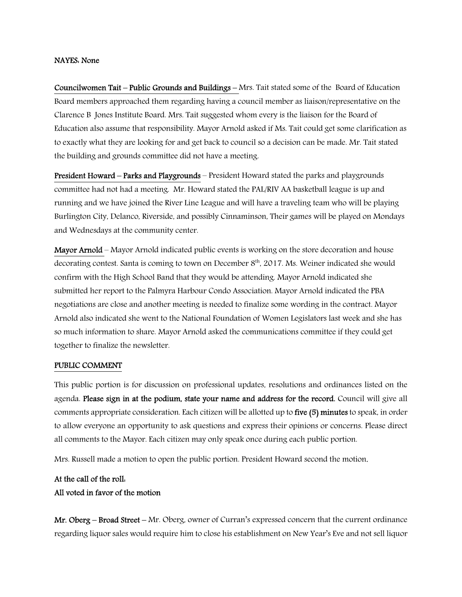#### NAYES: None

Councilwomen Tait – Public Grounds and Buildings – Mrs. Tait stated some of the Board of Education Board members approached them regarding having a council member as liaison/representative on the Clarence B Jones Institute Board. Mrs. Tait suggested whom every is the liaison for the Board of Education also assume that responsibility. Mayor Arnold asked if Ms. Tait could get some clarification as to exactly what they are looking for and get back to council so a decision can be made. Mr. Tait stated the building and grounds committee did not have a meeting.

President Howard – Parks and Playgrounds – President Howard stated the parks and playgrounds committee had not had a meeting. Mr. Howard stated the PAL/RIV AA basketball league is up and running and we have joined the River Line League and will have a traveling team who will be playing Burlington City, Delanco, Riverside, and possibly Cinnaminson, Their games will be played on Mondays and Wednesdays at the community center.

Mayor Arnold – Mayor Arnold indicated public events is working on the store decoration and house decorating contest. Santa is coming to town on December 8<sup>th</sup>, 2017. Ms. Weiner indicated she would confirm with the High School Band that they would be attending. Mayor Arnold indicated she submitted her report to the Palmyra Harbour Condo Association. Mayor Arnold indicated the PBA negotiations are close and another meeting is needed to finalize some wording in the contract. Mayor Arnold also indicated she went to the National Foundation of Women Legislators last week and she has so much information to share. Mayor Arnold asked the communications committee if they could get together to finalize the newsletter.

#### PUBLIC COMMENT

This public portion is for discussion on professional updates, resolutions and ordinances listed on the agenda. Please sign in at the podium, state your name and address for the record. Council will give all comments appropriate consideration. Each citizen will be allotted up to five (5) minutes to speak, in order to allow everyone an opportunity to ask questions and express their opinions or concerns. Please direct all comments to the Mayor. Each citizen may only speak once during each public portion.

Mrs. Russell made a motion to open the public portion. President Howard second the motion.

# At the call of the roll: All voted in favor of the motion

Mr. Oberg – Broad Street – Mr. Oberg, owner of Curran's expressed concern that the current ordinance regarding liquor sales would require him to close his establishment on New Year's Eve and not sell liquor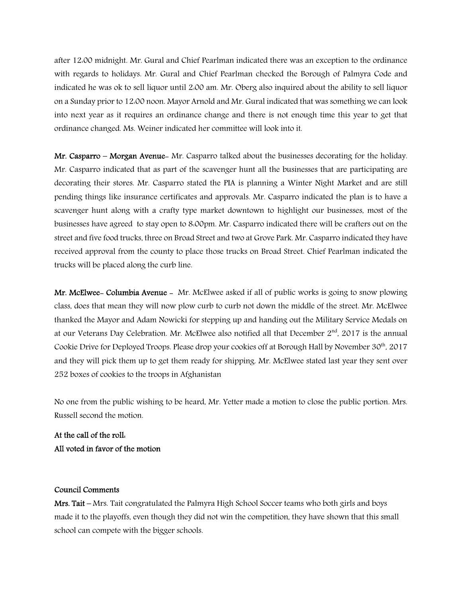after 12:00 midnight. Mr. Gural and Chief Pearlman indicated there was an exception to the ordinance with regards to holidays. Mr. Gural and Chief Pearlman checked the Borough of Palmyra Code and indicated he was ok to sell liquor until 2:00 am. Mr. Oberg also inquired about the ability to sell liquor on a Sunday prior to 12:00 noon. Mayor Arnold and Mr. Gural indicated that was something we can look into next year as it requires an ordinance change and there is not enough time this year to get that ordinance changed. Ms. Weiner indicated her committee will look into it.

Mr. Casparro – Morgan Avenue- Mr. Casparro talked about the businesses decorating for the holiday. Mr. Casparro indicated that as part of the scavenger hunt all the businesses that are participating are decorating their stores. Mr. Casparro stated the PIA is planning a Winter Night Market and are still pending things like insurance certificates and approvals. Mr. Casparro indicated the plan is to have a scavenger hunt along with a crafty type market downtown to highlight our businesses, most of the businesses have agreed to stay open to 8:00pm. Mr. Casparro indicated there will be crafters out on the street and five food trucks, three on Broad Street and two at Grove Park. Mr. Casparro indicated they have received approval from the county to place those trucks on Broad Street. Chief Pearlman indicated the trucks will be placed along the curb line.

Mr. McElwee- Columbia Avenue - Mr. McElwee asked if all of public works is going to snow plowing class, does that mean they will now plow curb to curb not down the middle of the street. Mr. McElwee thanked the Mayor and Adam Nowicki for stepping up and handing out the Military Service Medals on at our Veterans Day Celebration. Mr. McElwee also notified all that December 2<sup>nd</sup>, 2017 is the annual Cookie Drive for Deployed Troops. Please drop your cookies off at Borough Hall by November 30<sup>th</sup>, 2017 and they will pick them up to get them ready for shipping. Mr. McElwee stated last year they sent over 252 boxes of cookies to the troops in Afghanistan

No one from the public wishing to be heard, Mr. Yetter made a motion to close the public portion. Mrs. Russell second the motion.

At the call of the roll: All voted in favor of the motion

### Council Comments

Mrs. Tait – Mrs. Tait congratulated the Palmyra High School Soccer teams who both girls and boys made it to the playoffs, even though they did not win the competition, they have shown that this small school can compete with the bigger schools.